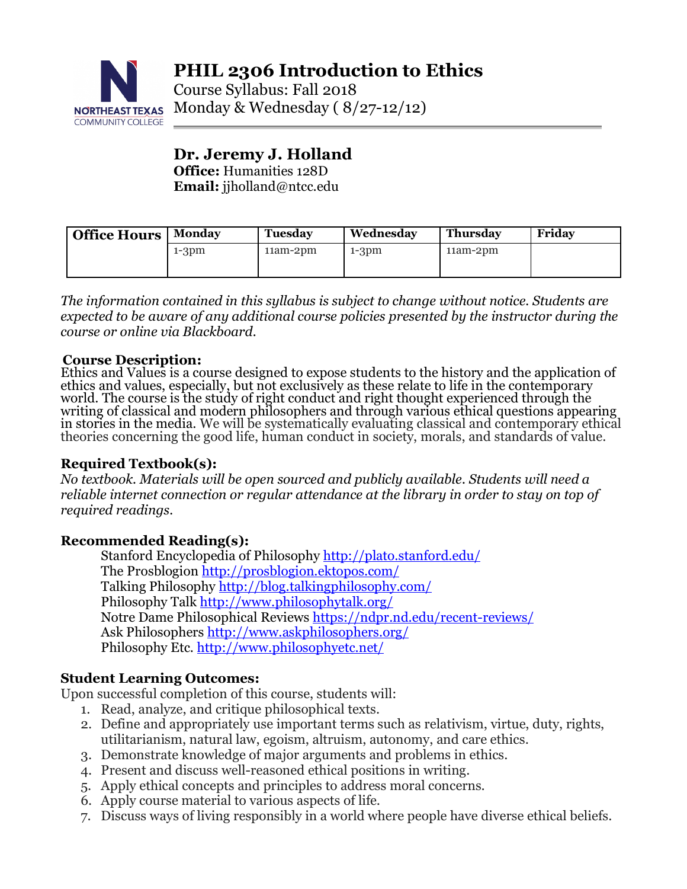

**PHIL 2306 Introduction to Ethics**

Course Syllabus: Fall 2018 NORTHEAST TEXAS Monday & Wednesday (8/27-12/12)

# **Dr. Jeremy J. Holland**

**Office:** Humanities 128D **Email:** jjholland@ntcc.edu

| <b>Office Hours</b> | Monday  | <b>Tuesday</b> | Wednesday | <b>Thursday</b> | Friday |
|---------------------|---------|----------------|-----------|-----------------|--------|
|                     | $1-3dm$ | $11am-2dm$     | $1-3pm$   | $11am-2pm$      |        |
|                     |         |                |           |                 |        |

*The information contained in this syllabus is subject to change without notice. Students are expected to be aware of any additional course policies presented by the instructor during the course or online via Blackboard.*

**Course Description:**<br>Ethics and Values is a course designed to expose students to the history and the application of ethics and values, especially, but not exclusively as these relate to life in the contemporary world. The course is the study of right conduct and right thought experienced through the<br>writing of classical and modern philosophers and through various ethical questions appearing<br>in stories in the media. We will be sys

#### **Required Textbook(s):**

*No textbook. Materials will be open sourced and publicly available. Students will need a reliable internet connection or regular attendance at the library in order to stay on top of required readings.*

#### **Recommended Reading(s):**

Stanford Encyclopedia of Philosophy http://plato.stanford.edu/ The Prosblogion http://prosblogion.ektopos.com/ Talking Philosophy http://blog.talkingphilosophy.com/ Philosophy Talk http://www.philosophytalk.org/ Notre Dame Philosophical Reviews https://ndpr.nd.edu/recent-reviews/ Ask Philosophers http://www.askphilosophers.org/ Philosophy Etc. http://www.philosophyetc.net/

# **Student Learning Outcomes:**

Upon successful completion of this course, students will:

- 1. Read, analyze, and critique philosophical texts.
- 2. Define and appropriately use important terms such as relativism, virtue, duty, rights, utilitarianism, natural law, egoism, altruism, autonomy, and care ethics.
- 3. Demonstrate knowledge of major arguments and problems in ethics.
- 4. Present and discuss well-reasoned ethical positions in writing.
- 5. Apply ethical concepts and principles to address moral concerns.
- 6. Apply course material to various aspects of life.
- 7. Discuss ways of living responsibly in a world where people have diverse ethical beliefs.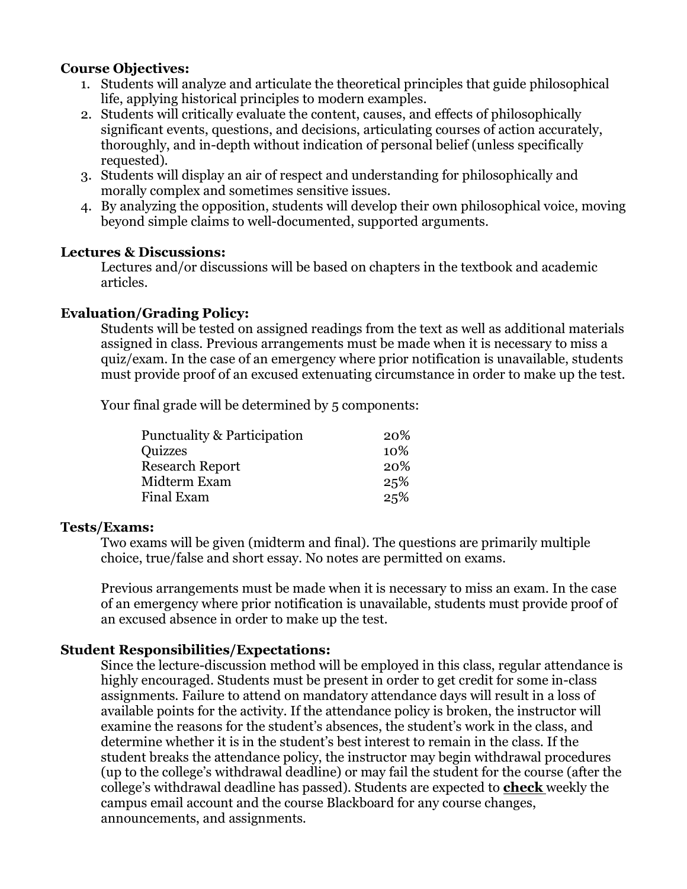#### **Course Objectives:**

- 1. Students will analyze and articulate the theoretical principles that guide philosophical life, applying historical principles to modern examples.
- 2. Students will critically evaluate the content, causes, and effects of philosophically significant events, questions, and decisions, articulating courses of action accurately, thoroughly, and in-depth without indication of personal belief (unless specifically requested).
- 3. Students will display an air of respect and understanding for philosophically and morally complex and sometimes sensitive issues.
- 4. By analyzing the opposition, students will develop their own philosophical voice, moving beyond simple claims to well-documented, supported arguments.

#### **Lectures & Discussions:**

Lectures and/or discussions will be based on chapters in the textbook and academic articles.

# **Evaluation/Grading Policy:**

Students will be tested on assigned readings from the text as well as additional materials assigned in class. Previous arrangements must be made when it is necessary to miss a quiz/exam. In the case of an emergency where prior notification is unavailable, students must provide proof of an excused extenuating circumstance in order to make up the test.

Your final grade will be determined by 5 components:

| <b>Punctuality &amp; Participation</b> | <b>20%</b> |
|----------------------------------------|------------|
| Quizzes                                | 10\%       |
| <b>Research Report</b>                 | <b>20%</b> |
| Midterm Exam                           | 25%        |
| Final Exam                             | 25%        |

#### **Tests/Exams:**

Two exams will be given (midterm and final). The questions are primarily multiple choice, true/false and short essay. No notes are permitted on exams.

Previous arrangements must be made when it is necessary to miss an exam. In the case of an emergency where prior notification is unavailable, students must provide proof of an excused absence in order to make up the test.

# **Student Responsibilities/Expectations:**

Since the lecture-discussion method will be employed in this class, regular attendance is highly encouraged. Students must be present in order to get credit for some in-class assignments. Failure to attend on mandatory attendance days will result in a loss of available points for the activity. If the attendance policy is broken, the instructor will examine the reasons for the student's absences, the student's work in the class, and determine whether it is in the student's best interest to remain in the class. If the student breaks the attendance policy, the instructor may begin withdrawal procedures (up to the college's withdrawal deadline) or may fail the student for the course (after the college's withdrawal deadline has passed). Students are expected to **check** weekly the campus email account and the course Blackboard for any course changes, announcements, and assignments.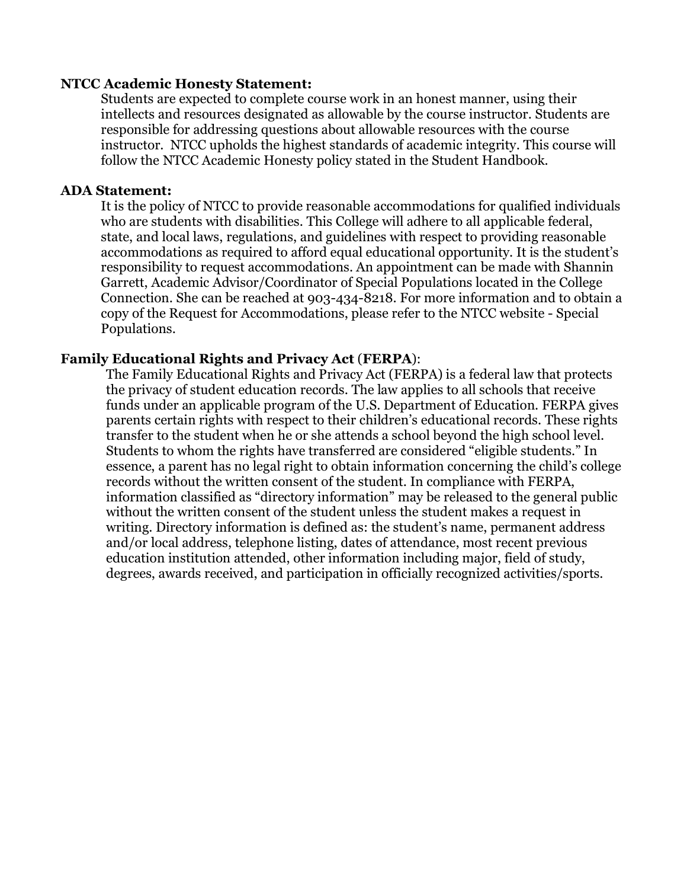#### **NTCC Academic Honesty Statement:**

Students are expected to complete course work in an honest manner, using their intellects and resources designated as allowable by the course instructor. Students are responsible for addressing questions about allowable resources with the course instructor. NTCC upholds the highest standards of academic integrity. This course will follow the NTCC Academic Honesty policy stated in the Student Handbook.

#### **ADA Statement:**

It is the policy of NTCC to provide reasonable accommodations for qualified individuals who are students with disabilities. This College will adhere to all applicable federal, state, and local laws, regulations, and guidelines with respect to providing reasonable accommodations as required to afford equal educational opportunity. It is the student's responsibility to request accommodations. An appointment can be made with Shannin Garrett, Academic Advisor/Coordinator of Special Populations located in the College Connection. She can be reached at 903-434-8218. For more information and to obtain a copy of the Request for Accommodations, please refer to the NTCC website - Special Populations.

#### **Family Educational Rights and Privacy Act** (**FERPA**):

The Family Educational Rights and Privacy Act (FERPA) is a federal law that protects the privacy of student education records. The law applies to all schools that receive funds under an applicable program of the U.S. Department of Education. FERPA gives parents certain rights with respect to their children's educational records. These rights transfer to the student when he or she attends a school beyond the high school level. Students to whom the rights have transferred are considered "eligible students." In essence, a parent has no legal right to obtain information concerning the child's college records without the written consent of the student. In compliance with FERPA, information classified as "directory information" may be released to the general public without the written consent of the student unless the student makes a request in writing. Directory information is defined as: the student's name, permanent address and/or local address, telephone listing, dates of attendance, most recent previous education institution attended, other information including major, field of study, degrees, awards received, and participation in officially recognized activities/sports.